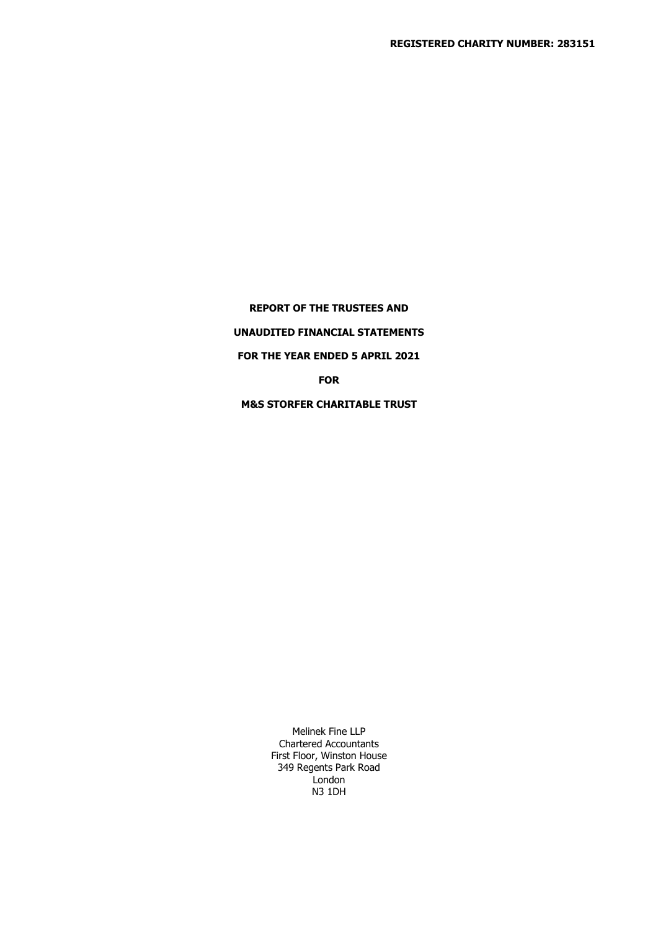**REPORT OF THE TRUSTEES AND UNAUDITED FINANCIAL STATEMENTS FOR THE YEAR ENDED 5 APRIL 2021 FOR M&S STORFER CHARITABLE TRUST**

> Melinek Fine LLP Chartered Accountants First Floor, Winston House 349 Regents Park Road London N3 1DH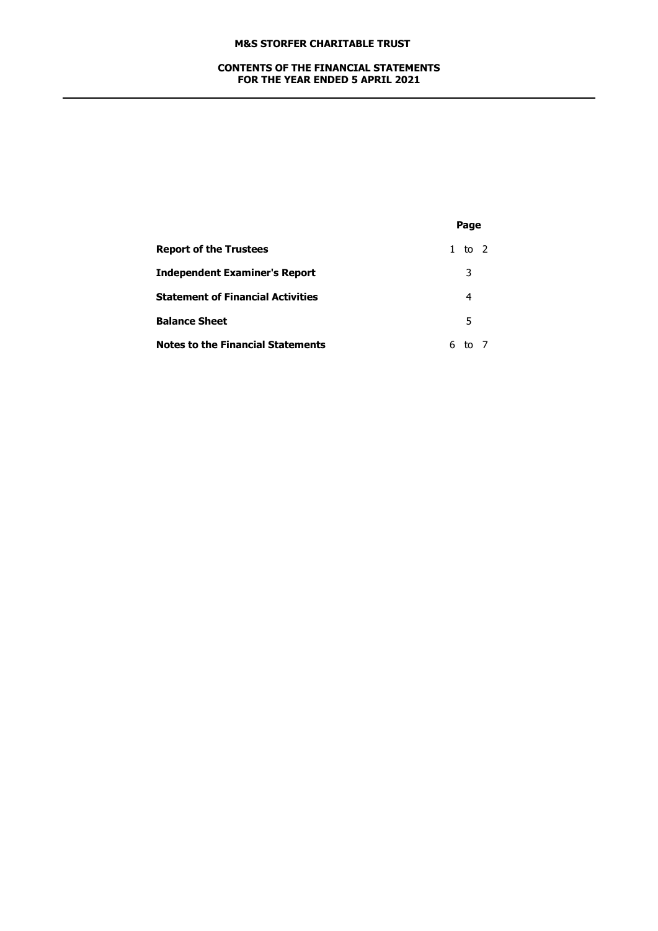## **CONTENTS OF THE FINANCIAL STATEMENTS FOR THE YEAR ENDED 5 APRIL 2021**

|                                          |   | Page   |  |  |
|------------------------------------------|---|--------|--|--|
| <b>Report of the Trustees</b>            |   | 1 to 2 |  |  |
| <b>Independent Examiner's Report</b>     |   | 3      |  |  |
| <b>Statement of Financial Activities</b> |   | 4      |  |  |
| <b>Balance Sheet</b>                     |   | 5      |  |  |
| <b>Notes to the Financial Statements</b> | 6 |        |  |  |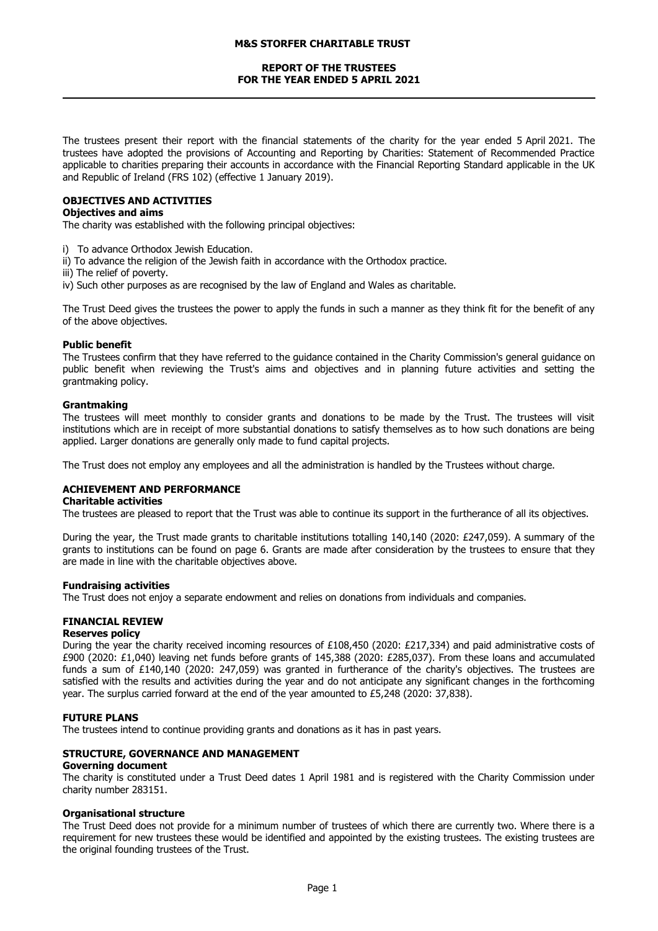## **REPORT OF THE TRUSTEES FOR THE YEAR ENDED 5 APRIL 2021**

The trustees present their report with the financial statements of the charity for the year ended 5 April 2021. The trustees have adopted the provisions of Accounting and Reporting by Charities: Statement of Recommended Practice applicable to charities preparing their accounts in accordance with the Financial Reporting Standard applicable in the UK and Republic of Ireland (FRS 102) (effective 1 January 2019).

### **OBJECTIVES AND ACTIVITIES**

## **Objectives and aims**

The charity was established with the following principal objectives:

- i) To advance Orthodox Jewish Education.
- ii) To advance the religion of the Jewish faith in accordance with the Orthodox practice.
- iii) The relief of poverty.
- iv) Such other purposes as are recognised by the law of England and Wales as charitable.

The Trust Deed gives the trustees the power to apply the funds in such a manner as they think fit for the benefit of any of the above objectives.

#### **Public benefit**

The Trustees confirm that they have referred to the guidance contained in the Charity Commission's general guidance on public benefit when reviewing the Trust's aims and objectives and in planning future activities and setting the grantmaking policy.

#### **Grantmaking**

The trustees will meet monthly to consider grants and donations to be made by the Trust. The trustees will visit institutions which are in receipt of more substantial donations to satisfy themselves as to how such donations are being applied. Larger donations are generally only made to fund capital projects.

The Trust does not employ any employees and all the administration is handled by the Trustees without charge.

## **ACHIEVEMENT AND PERFORMANCE**

### **Charitable activities**

The trustees are pleased to report that the Trust was able to continue its support in the furtherance of all its objectives.

During the year, the Trust made grants to charitable institutions totalling 140,140 (2020: £247,059). A summary of the grants to institutions can be found on page 6. Grants are made after consideration by the trustees to ensure that they are made in line with the charitable objectives above.

#### **Fundraising activities**

The Trust does not enjoy a separate endowment and relies on donations from individuals and companies.

## **FINANCIAL REVIEW**

## **Reserves policy**

During the year the charity received incoming resources of £108,450 (2020: £217,334) and paid administrative costs of £900 (2020: £1,040) leaving net funds before grants of 145,388 (2020: £285,037). From these loans and accumulated funds a sum of £140,140 (2020: 247,059) was granted in furtherance of the charity's objectives. The trustees are satisfied with the results and activities during the year and do not anticipate any significant changes in the forthcoming year. The surplus carried forward at the end of the year amounted to £5,248 (2020: 37,838).

#### **FUTURE PLANS**

The trustees intend to continue providing grants and donations as it has in past years.

#### **STRUCTURE, GOVERNANCE AND MANAGEMENT**

#### **Governing document**

The charity is constituted under a Trust Deed dates 1 April 1981 and is registered with the Charity Commission under charity number 283151.

#### **Organisational structure**

The Trust Deed does not provide for a minimum number of trustees of which there are currently two. Where there is a requirement for new trustees these would be identified and appointed by the existing trustees. The existing trustees are the original founding trustees of the Trust.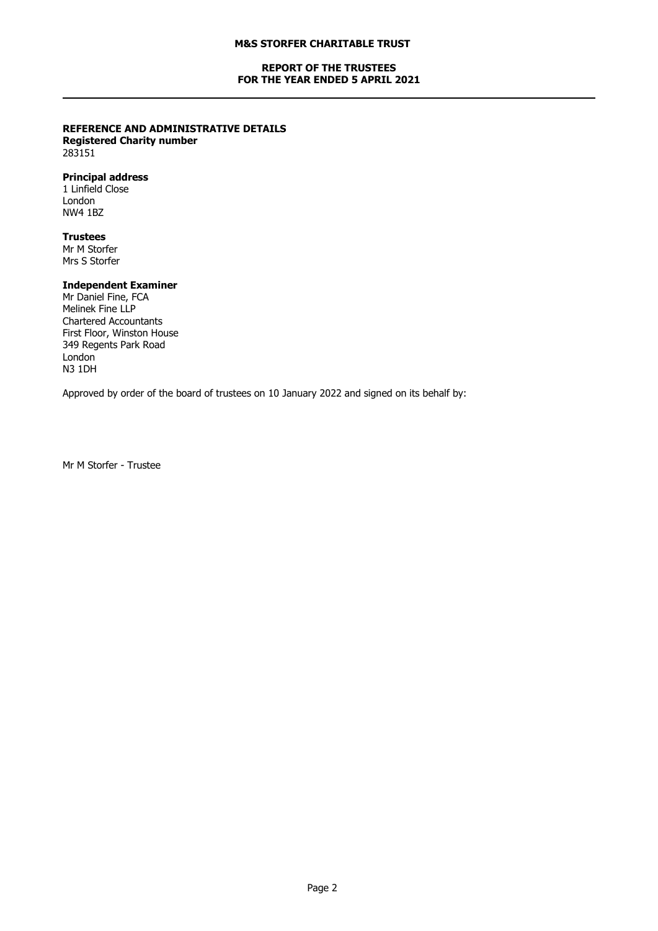## **REPORT OF THE TRUSTEES FOR THE YEAR ENDED 5 APRIL 2021**

# **REFERENCE AND ADMINISTRATIVE DETAILS**

**Registered Charity number** 283151

## **Principal address**

1 Linfield Close London NW4 1BZ

## **Trustees**

Mr M Storfer Mrs S Storfer

## **Independent Examiner**

Mr Daniel Fine, FCA Melinek Fine LLP Chartered Accountants First Floor, Winston House 349 Regents Park Road London N3 1DH

Approved by order of the board of trustees on 10 January 2022 and signed on its behalf by:

Mr M Storfer - Trustee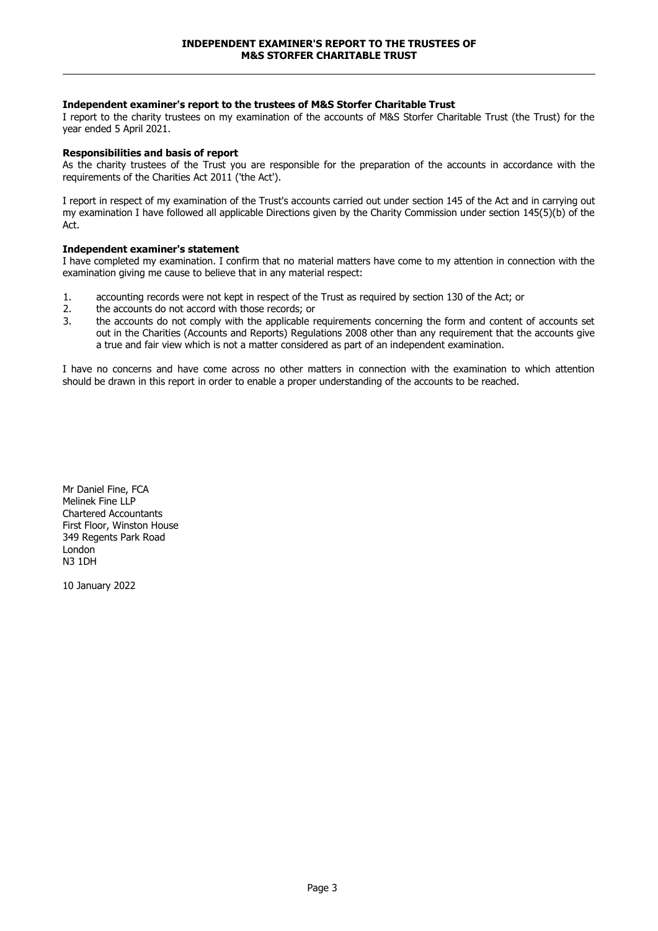## **Independent examiner's report to the trustees of M&S Storfer Charitable Trust**

I report to the charity trustees on my examination of the accounts of M&S Storfer Charitable Trust (the Trust) for the year ended 5 April 2021.

### **Responsibilities and basis of report**

As the charity trustees of the Trust you are responsible for the preparation of the accounts in accordance with the requirements of the Charities Act 2011 ('the Act').

I report in respect of my examination of the Trust's accounts carried out under section 145 of the Act and in carrying out my examination I have followed all applicable Directions given by the Charity Commission under section 145(5)(b) of the Act.

### **Independent examiner's statement**

I have completed my examination. I confirm that no material matters have come to my attention in connection with the examination giving me cause to believe that in any material respect:

- 1. accounting records were not kept in respect of the Trust as required by section 130 of the Act; or
- 2. the accounts do not accord with those records; or
- 3. the accounts do not comply with the applicable requirements concerning the form and content of accounts set out in the Charities (Accounts and Reports) Regulations 2008 other than any requirement that the accounts give a true and fair view which is not a matter considered as part of an independent examination.

I have no concerns and have come across no other matters in connection with the examination to which attention should be drawn in this report in order to enable a proper understanding of the accounts to be reached.

Mr Daniel Fine, FCA Melinek Fine LLP Chartered Accountants First Floor, Winston House 349 Regents Park Road London N3 1DH

10 January 2022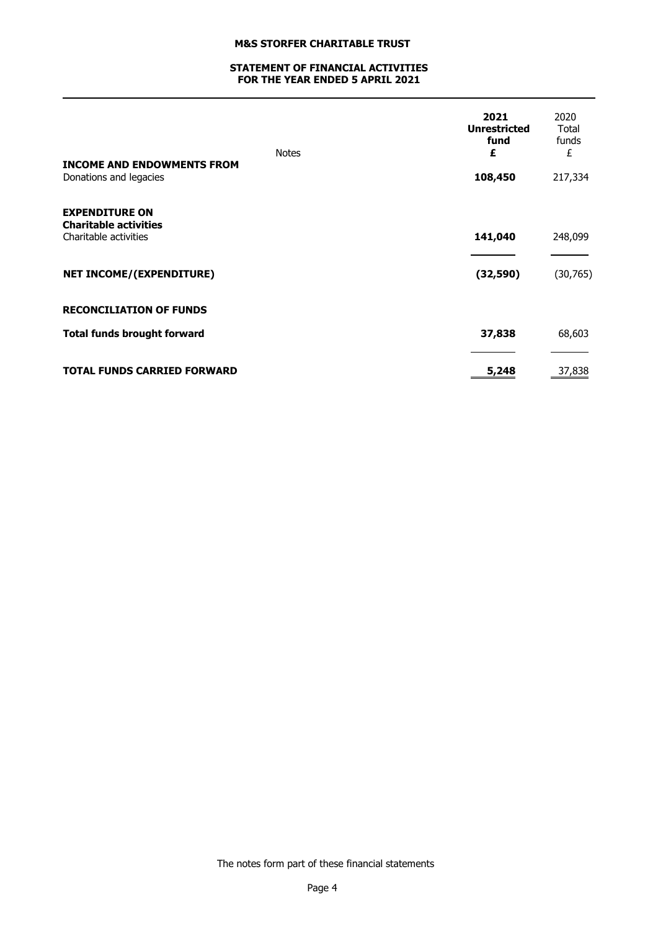## **STATEMENT OF FINANCIAL ACTIVITIES FOR THE YEAR ENDED 5 APRIL 2021**

|                                                             | <b>Notes</b> | 2021<br><b>Unrestricted</b><br>fund<br>£ | 2020<br>Total<br>funds<br>£ |
|-------------------------------------------------------------|--------------|------------------------------------------|-----------------------------|
| <b>INCOME AND ENDOWMENTS FROM</b><br>Donations and legacies |              | 108,450                                  | 217,334                     |
| <b>EXPENDITURE ON</b>                                       |              |                                          |                             |
| <b>Charitable activities</b><br>Charitable activities       |              | 141,040                                  | 248,099                     |
| <b>NET INCOME/(EXPENDITURE)</b>                             |              | (32, 590)                                | (30, 765)                   |
| <b>RECONCILIATION OF FUNDS</b>                              |              |                                          |                             |
| <b>Total funds brought forward</b>                          |              | 37,838                                   | 68,603                      |
|                                                             |              |                                          |                             |
| <b>TOTAL FUNDS CARRIED FORWARD</b>                          |              | 5,248                                    | 37,838                      |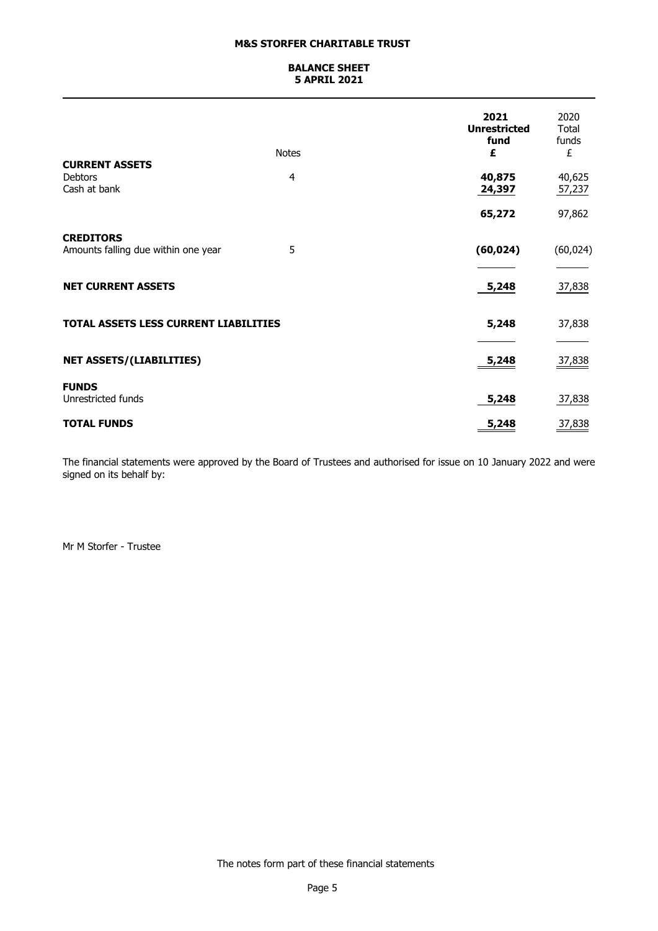## **BALANCE SHEET 5 APRIL 2021**

|                                                         | <b>Notes</b>   | 2021<br><b>Unrestricted</b><br>fund<br>£ | 2020<br>Total<br>funds<br>£ |
|---------------------------------------------------------|----------------|------------------------------------------|-----------------------------|
| <b>CURRENT ASSETS</b><br><b>Debtors</b><br>Cash at bank | $\overline{4}$ | 40,875<br>24,397                         | 40,625<br>57,237            |
| <b>CREDITORS</b>                                        |                | 65,272                                   | 97,862                      |
| Amounts falling due within one year                     | 5              | (60, 024)                                | (60, 024)                   |
| <b>NET CURRENT ASSETS</b>                               |                | 5,248                                    | 37,838                      |
| <b>TOTAL ASSETS LESS CURRENT LIABILITIES</b>            |                | 5,248                                    | 37,838                      |
| <b>NET ASSETS/(LIABILITIES)</b><br><b>FUNDS</b>         |                | <u>5,248</u>                             | 37,838                      |
| Unrestricted funds<br><b>TOTAL FUNDS</b>                |                | 5,248<br>5,248<br>$\equiv$               | 37,838<br>37,838            |

The financial statements were approved by the Board of Trustees and authorised for issue on 10 January 2022 and were signed on its behalf by:

Mr M Storfer - Trustee

The notes form part of these financial statements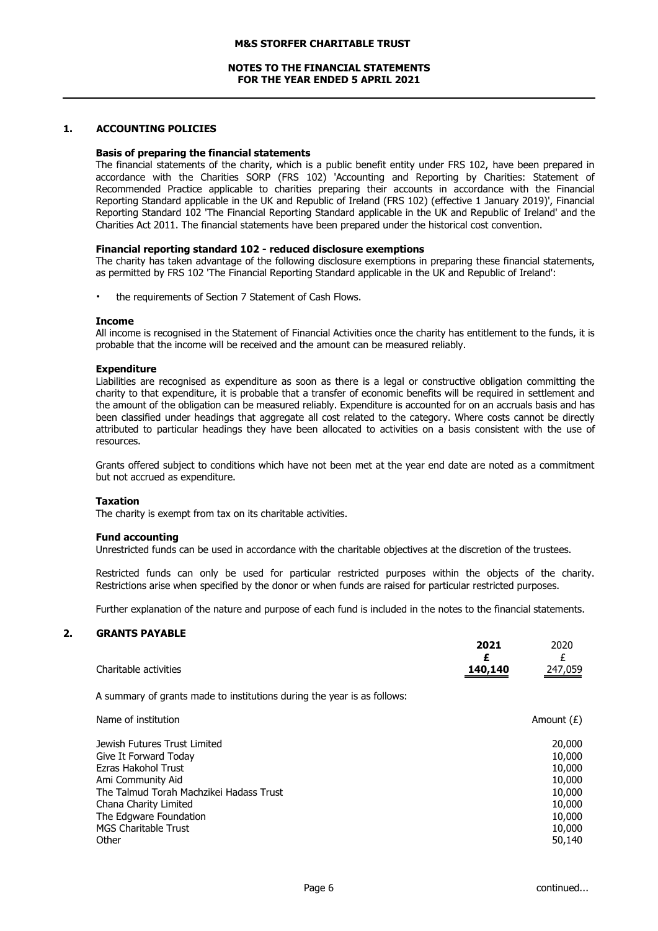### **NOTES TO THE FINANCIAL STATEMENTS FOR THE YEAR ENDED 5 APRIL 2021**

## **1. ACCOUNTING POLICIES**

#### **Basis of preparing the financial statements**

The financial statements of the charity, which is a public benefit entity under FRS 102, have been prepared in accordance with the Charities SORP (FRS 102) 'Accounting and Reporting by Charities: Statement of Recommended Practice applicable to charities preparing their accounts in accordance with the Financial Reporting Standard applicable in the UK and Republic of Ireland (FRS 102) (effective 1 January 2019)', Financial Reporting Standard 102 'The Financial Reporting Standard applicable in the UK and Republic of Ireland' and the Charities Act 2011. The financial statements have been prepared under the historical cost convention.

#### **Financial reporting standard 102 - reduced disclosure exemptions**

The charity has taken advantage of the following disclosure exemptions in preparing these financial statements, as permitted by FRS 102 'The Financial Reporting Standard applicable in the UK and Republic of Ireland':

the requirements of Section 7 Statement of Cash Flows.

#### **Income**

All income is recognised in the Statement of Financial Activities once the charity has entitlement to the funds, it is probable that the income will be received and the amount can be measured reliably.

#### **Expenditure**

Liabilities are recognised as expenditure as soon as there is a legal or constructive obligation committing the charity to that expenditure, it is probable that a transfer of economic benefits will be required in settlement and the amount of the obligation can be measured reliably. Expenditure is accounted for on an accruals basis and has been classified under headings that aggregate all cost related to the category. Where costs cannot be directly attributed to particular headings they have been allocated to activities on a basis consistent with the use of resources.

Grants offered subject to conditions which have not been met at the year end date are noted as a commitment but not accrued as expenditure.

#### **Taxation**

The charity is exempt from tax on its charitable activities.

#### **Fund accounting**

Unrestricted funds can be used in accordance with the charitable objectives at the discretion of the trustees.

Restricted funds can only be used for particular restricted purposes within the objects of the charity. Restrictions arise when specified by the donor or when funds are raised for particular restricted purposes.

Further explanation of the nature and purpose of each fund is included in the notes to the financial statements.

### **2. GRANTS PAYABLE**

|                       | 2021    | 2020    |
|-----------------------|---------|---------|
|                       |         |         |
| Charitable activities | 140,140 | 247,059 |
|                       |         |         |

A summary of grants made to institutions during the year is as follows:

| Name of institution                     | Amount $(E)$ |
|-----------------------------------------|--------------|
| Jewish Futures Trust Limited            | 20,000       |
| Give It Forward Today                   | 10,000       |
| Ezras Hakohol Trust                     | 10,000       |
| Ami Community Aid                       | 10,000       |
| The Talmud Torah Machzikei Hadass Trust | 10,000       |
| Chana Charity Limited                   | 10,000       |
| The Edgware Foundation                  | 10,000       |
| <b>MGS Charitable Trust</b>             | 10,000       |
| Other                                   | 50,140       |